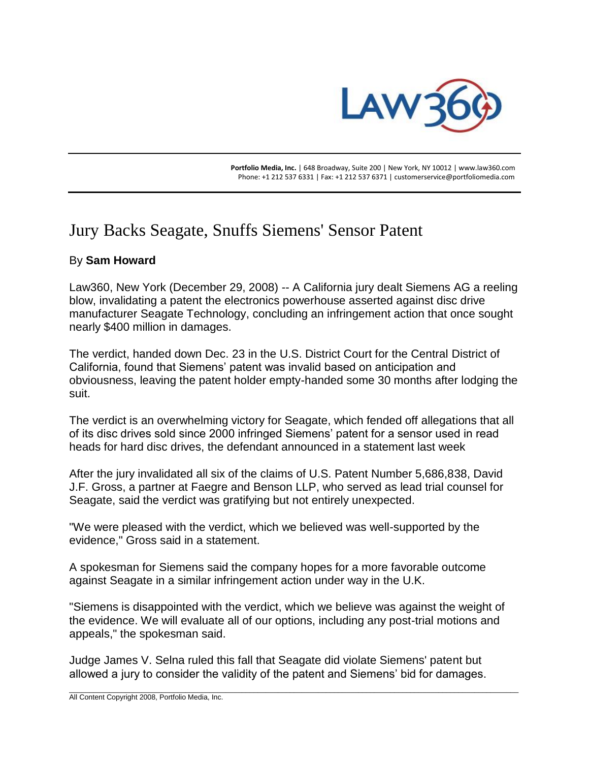

 **Portfolio Media, Inc.** | 648 Broadway, Suite 200 | New York, NY 10012 | www.law360.com Phone: +1 212 537 6331 | Fax: +1 212 537 6371 | customerservice@portfoliomedia.com

## Jury Backs Seagate, Snuffs Siemens' Sensor Patent

## By **Sam Howard**

Law360, New York (December 29, 2008) -- A California jury dealt Siemens AG a reeling blow, invalidating a patent the electronics powerhouse asserted against disc drive manufacturer Seagate Technology, concluding an infringement action that once sought nearly \$400 million in damages.

The verdict, handed down Dec. 23 in the U.S. District Court for the Central District of California, found that Siemens' patent was invalid based on anticipation and obviousness, leaving the patent holder empty-handed some 30 months after lodging the suit.

The verdict is an overwhelming victory for Seagate, which fended off allegations that all of its disc drives sold since 2000 infringed Siemens' patent for a sensor used in read heads for hard disc drives, the defendant announced in a statement last week

After the jury invalidated all six of the claims of U.S. Patent Number 5,686,838, David J.F. Gross, a partner at Faegre and Benson LLP, who served as lead trial counsel for Seagate, said the verdict was gratifying but not entirely unexpected.

"We were pleased with the verdict, which we believed was well-supported by the evidence," Gross said in a statement.

A spokesman for Siemens said the company hopes for a more favorable outcome against Seagate in a similar infringement action under way in the U.K.

"Siemens is disappointed with the verdict, which we believe was against the weight of the evidence. We will evaluate all of our options, including any post-trial motions and appeals," the spokesman said.

\_\_\_\_\_\_\_\_\_\_\_\_\_\_\_\_\_\_\_\_\_\_\_\_\_\_\_\_\_\_\_\_\_\_\_\_\_\_\_\_\_\_\_\_\_\_\_\_\_\_\_\_\_\_\_\_\_\_\_\_\_\_\_\_\_\_\_\_\_\_\_\_\_\_\_\_\_\_\_\_\_\_\_\_\_\_\_\_\_\_\_\_\_\_\_\_\_\_\_\_\_\_\_\_\_\_\_\_\_\_\_\_

Judge James V. Selna ruled this fall that Seagate did violate Siemens' patent but allowed a jury to consider the validity of the patent and Siemens' bid for damages.